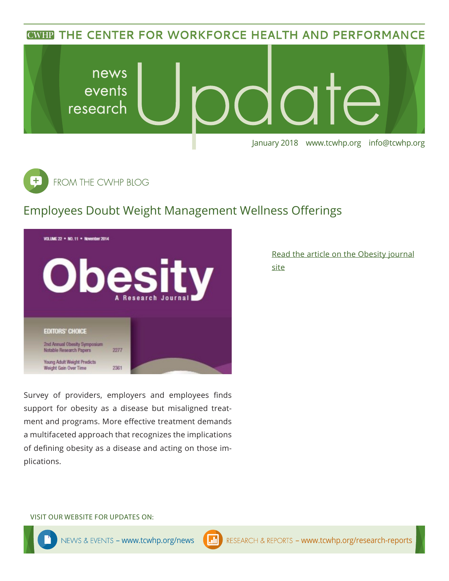**CWHP THE CENTER FOR WORKFORCE HEALTH AND PERFORMANCE** 





## Employees Doubt Weight Management Wellness Offerings



Survey of providers, employers and employees finds support for obesity as a disease but misaligned treatment and programs. More effective treatment demands a multifaceted approach that recognizes the implications of defining obesity as a disease and acting on those implications.

[Read the article on the Obesity journal](https://www.ncbi.nlm.nih.gov/pubmed/29086529) [site](https://www.ncbi.nlm.nih.gov/pubmed/29086529)

#### VISIT OUR WEBSITE FOR UPDATES ON: